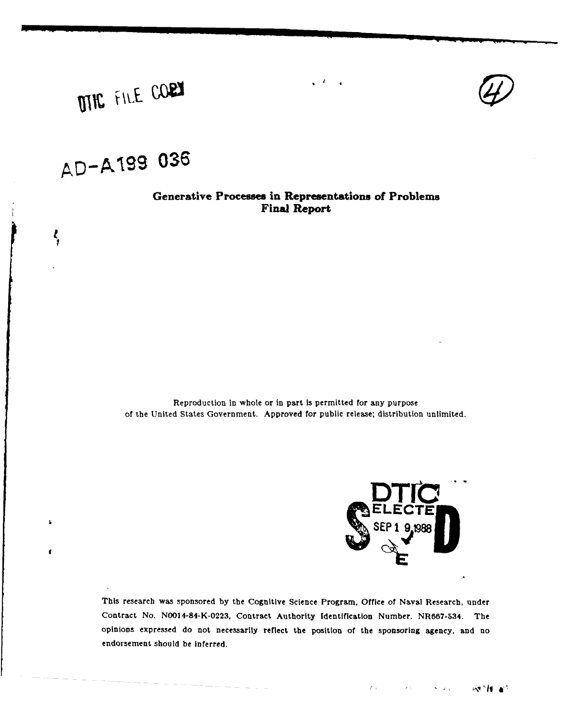

# **DING** FILE CORY

## **AD-AMg 9 036**

 $\zeta$ 

 $\pmb{\lambda}$ 

ŕ

## **Generative Processes in Representations of Problems Final Report**

Reproduction in whole or in part is permitted for any purpose of the United States Government. Approved for public release; distribution unlimited.



This research was sponsored **by** the Cognitive Science Program, Office of Naval Research, under Contract No. N0014-84-K-0223, Contract Authority Identification Number. NR667-534. The opinions expressed do not necessarily reflect the position of the sponsoring agency, and no endorsement should be inferred.

A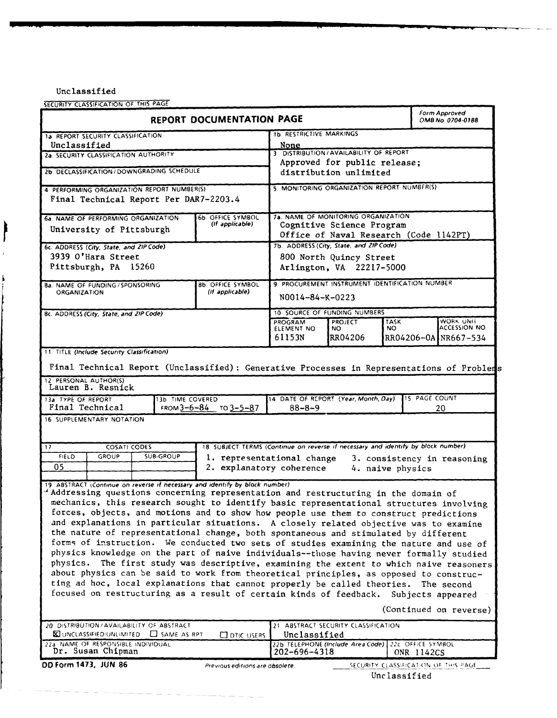Unclassified

Ì

SECURITY CLASSIFICATION OF **THIS** PAGE

| SELUNII I LLASSIFILATION OF THIS TAGS<br><b>REPORT DOCUMENTATION PAGE</b>                                                                                                                                                                                                                                                                                                                                                                                                                                                                                                                                                                                                                                                                                                                                                                                                                                                                                                                                                                                                                                                     |                                             |                                                                                                |                                                                  | Form Approved<br>OMB No. 0704-0188 |                                                    |
|-------------------------------------------------------------------------------------------------------------------------------------------------------------------------------------------------------------------------------------------------------------------------------------------------------------------------------------------------------------------------------------------------------------------------------------------------------------------------------------------------------------------------------------------------------------------------------------------------------------------------------------------------------------------------------------------------------------------------------------------------------------------------------------------------------------------------------------------------------------------------------------------------------------------------------------------------------------------------------------------------------------------------------------------------------------------------------------------------------------------------------|---------------------------------------------|------------------------------------------------------------------------------------------------|------------------------------------------------------------------|------------------------------------|----------------------------------------------------|
| 1a REPORT SECURITY CLASSIFICATION                                                                                                                                                                                                                                                                                                                                                                                                                                                                                                                                                                                                                                                                                                                                                                                                                                                                                                                                                                                                                                                                                             |                                             | <b>1b. RESTRICTIVE MARKINGS</b>                                                                |                                                                  |                                    |                                                    |
| Unclassified<br>2a. SECURITY CLASSIFICATION AUTHORITY                                                                                                                                                                                                                                                                                                                                                                                                                                                                                                                                                                                                                                                                                                                                                                                                                                                                                                                                                                                                                                                                         |                                             | None                                                                                           | 3. DISTRIBUTION / AVAILABILITY OF REPORT                         |                                    |                                                    |
|                                                                                                                                                                                                                                                                                                                                                                                                                                                                                                                                                                                                                                                                                                                                                                                                                                                                                                                                                                                                                                                                                                                               |                                             |                                                                                                | Approved for public release;                                     |                                    |                                                    |
| 2b. DECLASSIFICATION / DOWNGRADING SCHEDULE                                                                                                                                                                                                                                                                                                                                                                                                                                                                                                                                                                                                                                                                                                                                                                                                                                                                                                                                                                                                                                                                                   |                                             | distribution unlimited                                                                         |                                                                  |                                    |                                                    |
| 4. PERFORMING ORGANIZATION REPORT NUMBER(S)<br>Final Technical Report Per DAR7-2203.4                                                                                                                                                                                                                                                                                                                                                                                                                                                                                                                                                                                                                                                                                                                                                                                                                                                                                                                                                                                                                                         |                                             | 5. MONITORING ORGANIZATION REPORT NUMBER(S)                                                    |                                                                  |                                    |                                                    |
| 6a, NAME OF PERFORMING ORGANIZATION<br>University of Pittsburgh                                                                                                                                                                                                                                                                                                                                                                                                                                                                                                                                                                                                                                                                                                                                                                                                                                                                                                                                                                                                                                                               | 6b OFFICE SYMBOL<br>(If applicable)         |                                                                                                | 7a. NAME OF MONITORING ORGANIZATION<br>Cognitive Science Program |                                    | Office of Naval Research (Code 1142PT)             |
| 6c. ADDRESS (City, State, and ZIP Code)<br>3939 O'Hara Street<br>Pittsburgh, PA 15260                                                                                                                                                                                                                                                                                                                                                                                                                                                                                                                                                                                                                                                                                                                                                                                                                                                                                                                                                                                                                                         |                                             | 7b. ADDRESS (City, State, and ZIP Code)<br>800 North Quincy Street<br>Arlington, VA 22217-5000 |                                                                  |                                    |                                                    |
| 8a. NAME OF FUNDING / SPONSORING<br><b>ORGANIZATION</b>                                                                                                                                                                                                                                                                                                                                                                                                                                                                                                                                                                                                                                                                                                                                                                                                                                                                                                                                                                                                                                                                       | <b>8b. OFFICE SYMBOL</b><br>(If applicable) | 9 PROCUREMENT INSTRUMENT IDENTIFICATION NUMBER<br>N0014-84-K-0223                              |                                                                  |                                    |                                                    |
| 8c. ADDRESS (City, State, and ZIP Code)                                                                                                                                                                                                                                                                                                                                                                                                                                                                                                                                                                                                                                                                                                                                                                                                                                                                                                                                                                                                                                                                                       |                                             |                                                                                                | 10 SOURCE OF FUNDING NUMBERS                                     |                                    |                                                    |
|                                                                                                                                                                                                                                                                                                                                                                                                                                                                                                                                                                                                                                                                                                                                                                                                                                                                                                                                                                                                                                                                                                                               |                                             | <b>PROGRAM</b><br>ELEMENT NO<br>61153N                                                         | <b>PROJECT</b><br>NO.<br>RR04206                                 | <b>TASK</b><br>NO.                 | WORK UNIT<br>ACCESSION NO.<br>RR04206-0A NR667-534 |
| Final Technical Report (Unclassified): Generative Processes in Representations of Problems<br>12 PERSONAL AUTHOR(S)<br>Lauren B. Resnick<br><b>15 PAGE COUNT</b><br>14 DATE OF REPORT (Year, Month, Day)<br>13a. TYPE OF REPORT<br>13b TIME COVERED<br>Final Technical<br>FROM $3-6-84$ TO $3-5-87$<br>$88 - 8 - 9$<br>20<br>16 SUPPLEMENTARY NOTATION                                                                                                                                                                                                                                                                                                                                                                                                                                                                                                                                                                                                                                                                                                                                                                        |                                             |                                                                                                |                                                                  |                                    |                                                    |
| 18. SUBJECT TERMS (Continue on reverse if necessary and identify by block number)<br><b>COSATI CODES</b><br>17<br><b>FIELD</b><br>GROUP<br><b>SUB-GROUP</b><br>1. representational change<br>3. consistency in reasoning<br>05<br>2. explanatory coherence<br>4. naive physics                                                                                                                                                                                                                                                                                                                                                                                                                                                                                                                                                                                                                                                                                                                                                                                                                                                |                                             |                                                                                                |                                                                  |                                    |                                                    |
| 19 ABSTRACT (Continue on reverse if necessary and identify by block number)<br>Addressing questions concerning representation and restructuring in the domain of<br>mechanics, this research sought to identify basic representational structures involving<br>forces, objects, and motions and to show how people use them to construct predictions<br>and explanations in particular situations. A closely related objective was to examine<br>the nature of representational change, both spontaneous and stimulated by different<br>forms of instruction. We conducted two sets of studies examining the nature and use of<br>physics knowledge on the part of naive individuals--those having never formally studied<br>physics. The first study was descriptive, examining the extent to which naive reasoners<br>about physics can be said to work from theoretical principles, as opposed to construc-<br>ting ad hoc, local explanations that cannot properly be called theories.<br>The second<br>focused on restructuring as a result of certain kinds of feedback.<br>Subjects appeared<br>(Continued on reverse) |                                             |                                                                                                |                                                                  |                                    |                                                    |
| 20. DISTRIBUTION/AVAILABILITY OF ABSTRACT<br>21 ABSTRACT SECURITY CLASSIFICATION<br><b>KI UNCLASSIFIED AINLIMITED CI SAME AS RPT</b><br>Unclassified<br><b>CONCUSERS</b>                                                                                                                                                                                                                                                                                                                                                                                                                                                                                                                                                                                                                                                                                                                                                                                                                                                                                                                                                      |                                             |                                                                                                |                                                                  |                                    |                                                    |
| 22a NAME OF RESPONSIBLE INDIVIDUAL<br>Dr. Susan Chipman                                                                                                                                                                                                                                                                                                                                                                                                                                                                                                                                                                                                                                                                                                                                                                                                                                                                                                                                                                                                                                                                       |                                             | 202-696-4318                                                                                   | 22b TELEPHONE (Include Area Code) 22c OFFICE SYMBOL              |                                    | ONR 1142CS                                         |
| DD Form 1473, JUN 86                                                                                                                                                                                                                                                                                                                                                                                                                                                                                                                                                                                                                                                                                                                                                                                                                                                                                                                                                                                                                                                                                                          | Previous editions are obsolete.             |                                                                                                |                                                                  |                                    | SECURITY CLASSIFICATION OF THIS PAGE               |

Unc lassified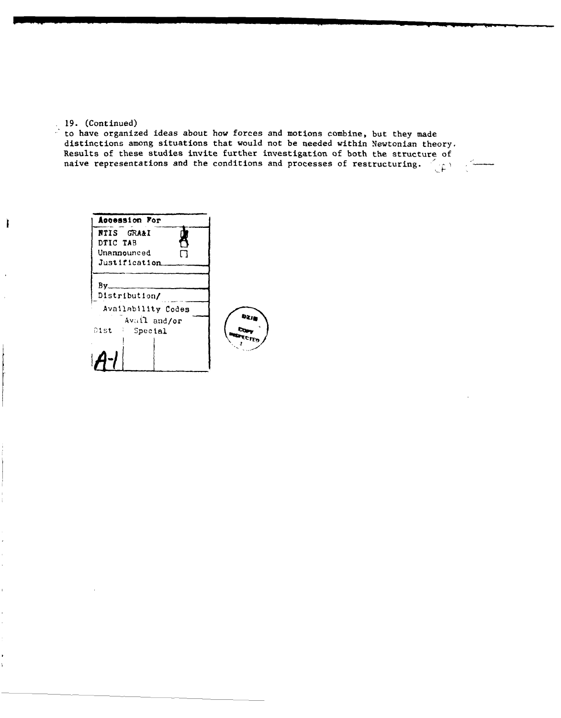#### 19. (Continued)

 $\mathbf{I}$ 

to have organized ideas about how forces and motions combine, but they made distinctions among situations that would not be needed within Newtonian theory. Results of these studies invite further investigation of both the structure of naive representations and the conditions and processes of restructuring.

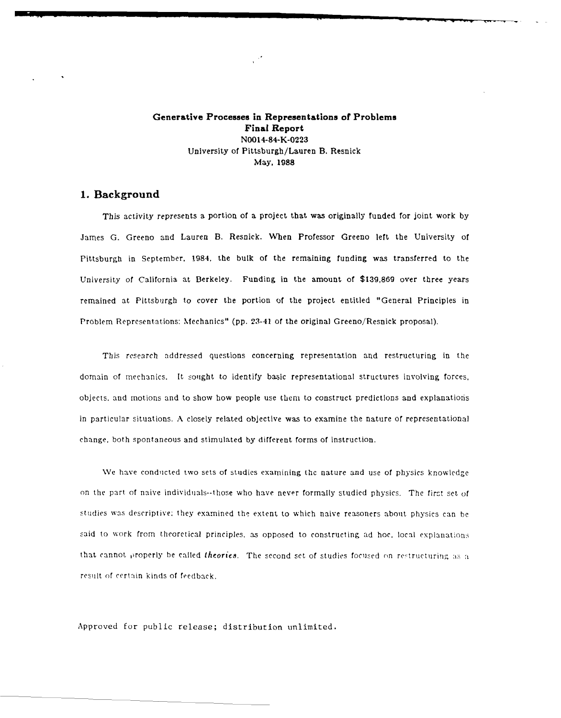**Generative Processes in Representations of Problems Final Report N0014-84-K-0223** University of Pittsburgh/Lauren B. Resnick May, **1988**

### **1. Background**

This activity represents a portion of a project that was originally funded for joint work by James G. Greeno and Lauren B. Resnick. When Professor Greeno left the University of Pittsburgh in September, 1984, the bulk of the remaining funding was transferred to the University of California at Berkeley. Funding in the amount of \$139,869 over three years remained at Pittsburgh to cover the portion of the project entitled "General Principles in Problem Representations: Mechanics" (pp. 23-41 of the original Greeno/Resnick proposal).

This research addressed questions concerning representation and restructuring in the domain of mechanics. It sought to identify basic representational structures involving forces, objects, and motions and to show how people use them to construct predictions and explanations in particular situations. A closely related objective was to examine the nature of representational change, both spontaneous and stimulated by different forms of instruction.

We have conducted two sets of studies examining the nature and use of physics knowledge on the part of naive individuals--those who have never formally studied physics. The first set of studies was descriptive: they examined the extent to which naive reasoners about physics can be said to work from theoretical principles, as opposed to constructing ad hoc, local explanations that cannot properly be called theories. The second set of studies focused on restructuring as a result of certain kinds of feedback.

Approved for public release; distribution unlimited.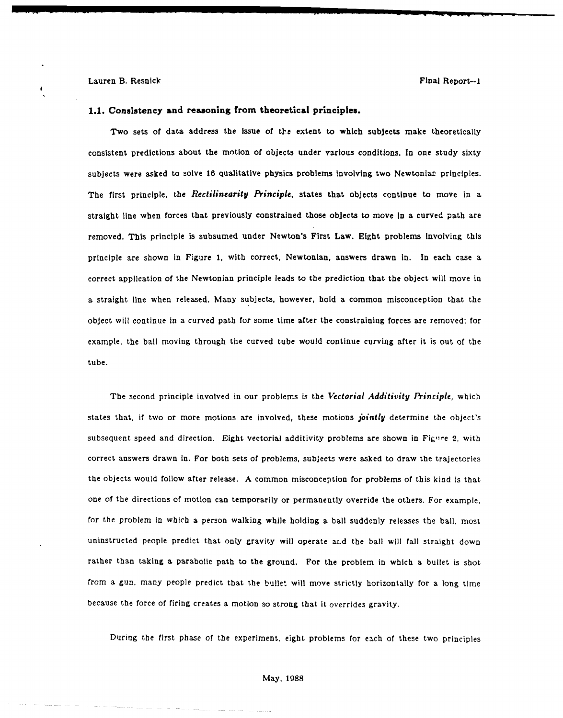#### **1.1. Consistency and reasoning from theoretical principles.**

Two sets of data address the issue of the extent to which subjects make theoretically consistent predictions about the motion **of** objects under various conditions. In one study sixty subjects were asked to solve **16** qualitative physics problems Involving two Newtonlar principles. The first principle, the *Rectilinearity Principle,* states that objects continue to move in a straight line when forces that previously constrained those objects to move In a curved path are removed. This principle is subsumed under Newton's First Law. Eight problems Involving this principle are shown In Figure **1,** with correct, Newtonian, answers drawn In. In each case a correct application of the Newtonian principle leads to the prediction that the object will move in a straight line when released. Many subjects, however, hold a common misconception that the object will continue in a curved path for some time after the constraining forces are removed; for example, the bali moving through the curved tube would continue curving after it is out of the tube.

The second principle involved in our problems is the *Vectorial Additivity Principle,* which states that, if two or more motions are involved, these motions *jointly* determine the object's subsequent speed and direction. Eight vectorial additivity problems are shown in Figure 2, with correct answers drawn in. For both sets of problems, subjects were asked to draw the trajectories the objects would follow after release. A common misconception for problems of this kind is that one of the directions of motion can temporarily or permanently override the others. For example, for the problem in which a person walking while holding a ball suddenly releases the ball, most uninstructed people predict that only gravity will operate aLd the ball will fall straight down rather than taking a parabolic path to the ground. For the problem in which a bullet is shot from a gun, many people predict that the bullet will move strictly horizontally for a long time because the force of firing creates a motion so strong that It overrides gravity.

During the first phase of the experiment, eight problems for each of these two principles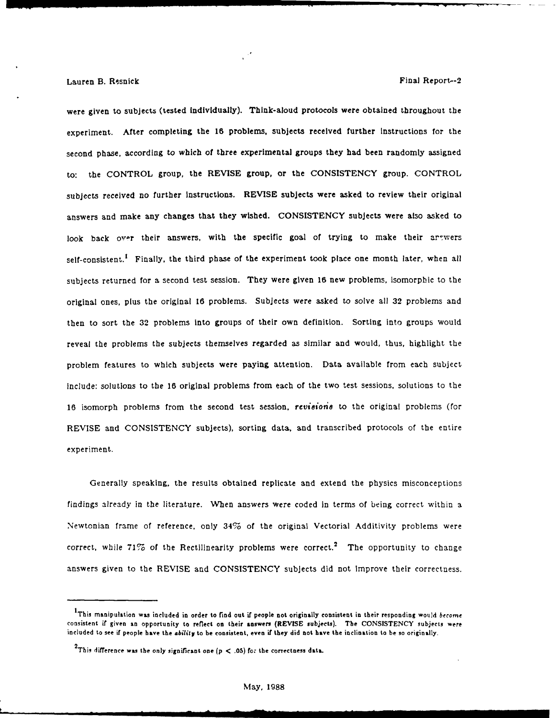were given to subjects (tested individually). Think-aloud protocols were obtained throughout the experiment. After completing the 16 problems, subjects received further instructions for the second phase, according to which of three experimental groups they had been randomly assigned to: the CONTROL group, the REVISE group, or the **CONSISTENCY** group. CONTROL subjects received no further instructions. REVISE subjects were asked to review their original answers and make any changes that they wished. **CONSISTENCY** subjects were also asked to look back over their answers, with the specific goal of trying to make their arewers self-consistent.<sup>1</sup> Finally, the third phase of the experiment took place one month later, when all subjects returned for a second test session. They were given **16** new problems, isomorphic to the original ones, plus the original **16** problems. Subjects were asked to solve all **32** problems and then to sort the **32** problems into groups of their own definition. Sorting into groups would reveal the problems the subjects themselves regarded as similar and would, thus, highlight the problem features to which subjects were paying attention. Data available from each subject Include: solutions to the 16 original problems from each of the two test sessions, solutions to the 16 isomorph problems from the second test session, *revisione* to the original problems (for REVISE and CONSISTENCY subjects), sorting data, and transcribed protocols of the entire experiment.

Generally speaking, the results obtained replicate and extend the physics misconceptions findings already in the literature. When answers were coded in terms of being correct within a Newtonian frame of reference, only 34% of the original Vectorial Additivity problems were correct, while 71% of the Rectilinearity problems were correct.<sup>2</sup> The opportunity to change answers given to the REVISE and CONSISTENCY subjects did not Improve their correctness.

**IThis manipulation was included in order** to find out **if** people **not originally consistent in** their **responding would** become consistent if **given** an opportunity **to reflect on their answers** (REVISE **subjects). The CONSISTENCY** subjects were included to see **if** people **have the ability to be consistent, even** if **they did not have the inclination** to **be so** originally.

<sup>2</sup> This difference was the only significant one **(p < .05)** *for* **the** correctness **data.**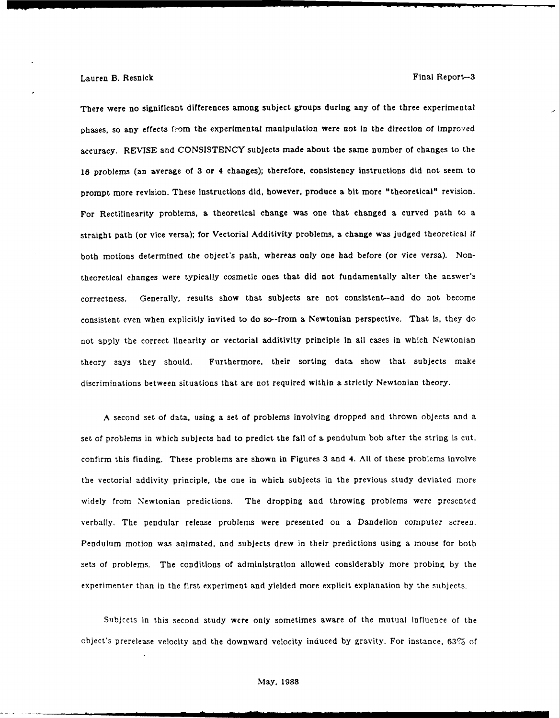There were no significant differences among subject groups during any of the three experimental phases, so any effects from the experimental manipulation were not **In** the direction of Improved accuracy. REVISE and CONSISTENCY subjects made about the same number of changes to the 18 problems (an average of **3** or 4 changes); therefore, consistency instructions did not seem to prompt more revision. These instructions did, however, produce a bit more "theoretical" revision. For Rectilinearity problems, a theoretical change was one that changed a curved path to a straight path (or vice versa); for Vectorial Additivity problems, a change was judged theoretical if both motions determined the object's path, whereas only one had before (or vice versa). Nontheoretical changes were typically cosmetic ones that did not fundamentally alter the answer's correctness. Generally, results show that subjects are not consistent--and do not become consistent even when explicitly invited to do so--from a Newtonian perspective. That is, they do not apply the correct linearity or vectorial additivity principle In all cases in which Newtonian theory says they should. Furthermore, their sorting data show that subjects make discriminations between situations that are not required within a strictly Newtonian theory.

A second set of data, using a set of problems involving dropped and thrown objects and a set of problems in which subjects had to predict the fall of a pendulum bob after the string is cut, confirm this finding. These problems are shown in Figures **3** and 4. **All** of these problems involve the vectorial addivity principle, the one in which subjects in the previous study deviated more widely from Newtonian predictions. The dropping and throwing problems were presented verbally. The pendular release problems were presented on a Dandelion computer screen. Pendulum motion was animated, and subjects drew in their predictions using a mouse for both sets of problems. The conditions of administration allowed considerably more probing by the experimenter than in the first experiment and yielded more explicit explanation by the subjects.

Subjccts in this second study were only sometimes aware of the mutual influence of the object's prerelease velocity and the downward velocity induced by gravity. For instance, **63%** of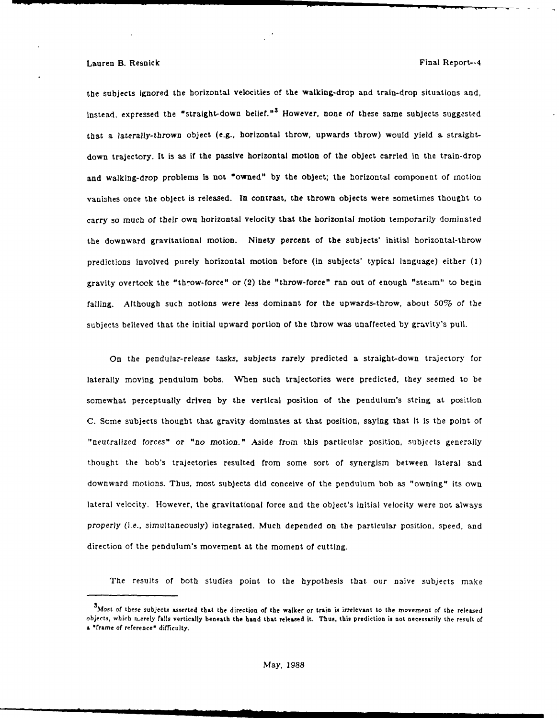#### Lauren B. Resnick Final Report--4

the subjects ignored the horizontal velocities of the walking-drop and train-drop situations and, instead, expressed the "straight-down belief."<sup>3</sup> However, none of these same subjects suggested that a laterally-thrown object (e.g., horizontal throw, upwards throw) would yield a straightdown trajectory. It is as if the passive horizontal motion of the object carried in the train-drop and walking-drop problems is not "owned" by the object; the horizontal component of motion vanishes once the object is released. In contrast, the thrown objects were sometimes thought to carry so much of their own horizontal velocity that the horizontal motion temporarily dominated the downward gravitational motion. Ninety percent of the subjects' initial horizontal-throw predictions involved purely horizontal motion before (in subjects' typical language) either (1) gravity overtook the "throw-force" or (2) the "throw-force" ran out of enough "steam" to begin falling. Although such notions were less dominant for the upwards-throw, about 50% of the subjects believed that the initial upward portion of the throw was unaffected by gravity's pull.

On the pendular-release tasks, subjects rarely predicted a straight-down trajectory for laterally moving pendulum bobs. When such trajectories were predicted, they seemed to be somewhat perceptually driven by the vertical position of the pendulum's string at position C. Some subjects thought that gravity dominates at that position, saying that it is the point of "neutralized forces" or "no motion." Aside from this particular position, subjects generally thought the bob's trajectories resulted from some sort of synergism between lateral and downward motions. Thus, most subjects did conceive of the pendulum bob as "owning" its own lateral velocity. However, the gravitational force and the object's initial velocity were not always properly (i.e., simultaneously) Integrated. Much depended on the particular position, speed, and direction of the pendulum's movement at the moment of cutting.

The results of both studies point to the hypothesis that our naive subjects make

*<sup>3</sup>***Most** of **these** subjects **asserted that the direction of the walker or train is irrelevant to the movement of the released** objects, which nrerely falls vertically beneath the **hand** that released it. Thus, this prediction is not necessarily the result of a "frame of reference" difficulty.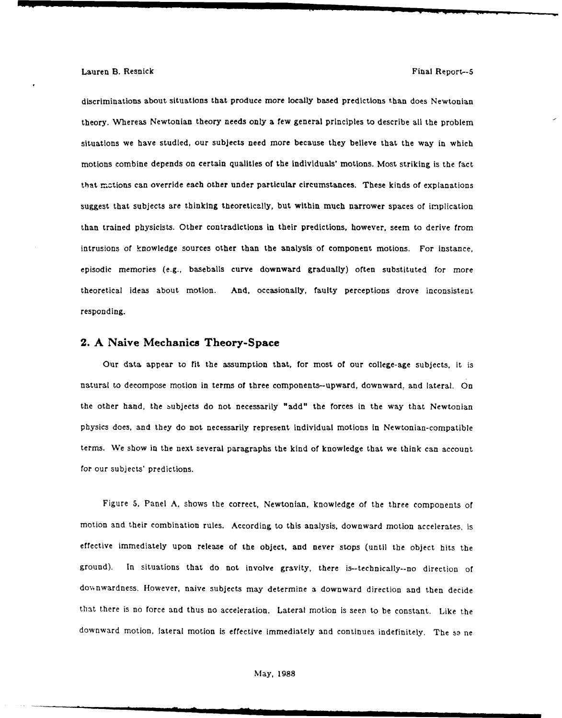discriminations about situations that produce more locally based predictions than does Newtonian theory. Whereas Newtonian theory needs only a few general principles to describe all the problem situations we have studied, our subjects need more because they believe that the way in which motions combine depends on certain qualities of the individuals' motions. Most striking is the fact that mztions can override each other under particular circumstances. These kinds of explanations suggest that subjects are thinking theoretically, but within much narrower spaces of implication than trained physicists. Other contradictions in their predictions, however, seem to derive from intrusions of knowledge sources other than the analysis of component motions. For instance, episodic memories (e.g., baseballs curve downward gradually) often substituted for more theoretical ideas about motion. And, occasionally, faulty perceptions drove inconsistent responding.

### **2. A Naive Mechanics Theory-Space**

Our data appear to fit the assumption that, for most of our college-age subjects, it is natural to decompose motion in terms of three components-upward, downward, and lateral. On the other hand, the subjects do not necessarily "add" the forces in the way that Newtonian physics does, and they do not necessarily represent individual motions in Newtonian-compatible terms. We show in the next several paragraphs the kind of knowledge that we think can account for our subjects' predictions.

Figure **5,** Panel A, shows the correct, Newtonian, knowledge of the three components of motion and their combination rules. According to this analysis, downward motion accelerates, is effective immediately upon release of the object, and never stops (until the object hits the ground). In situations that do not involve gravity, there is--technically--no direction of downwardness. However, naive subjects may determine a downward direction and then decide that there is no force and thus no acceleration. Lateral motion is seen to be constant. Like the downward motion, lateral motion is effective immediately and continues indefinitely. The same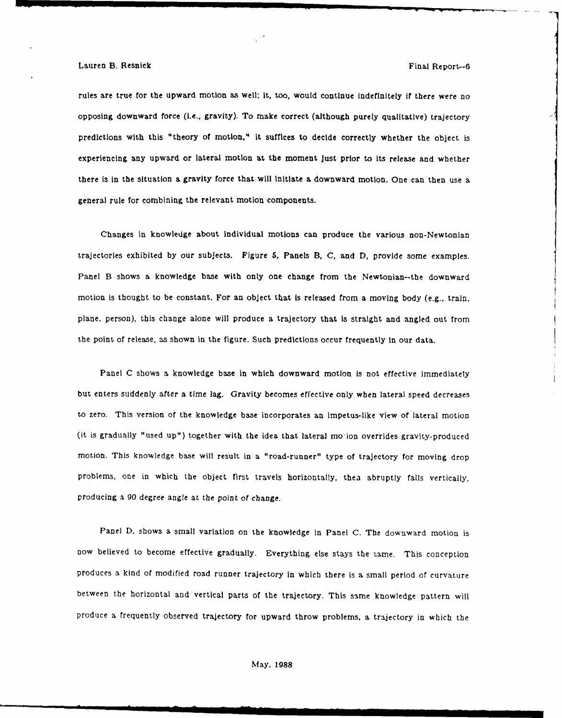#### Lauren B. Resnick Final Report--6

rules are true for the upward motion as well; it, too, would continue indefinitely if there were no opposing downward force (i.e., gravity). To make correct (although purely qualitative) trajectory predictions with this "theory of motion," it suffices to decide correctly whether the object is experiencing any upward or lateral motion at the moment just prior to its release and whether there is in the situation a gravity force that will Initiate a downward motion. One can then use a general rule for combining the relevant motion components.

Changes in knowledge about individual motions can produce the various non-Newtonian trajectories exhibited by our subjects. Figure **5,** Panels B, **C,** and D, provide some examples. Panel B shows a knowledge base with only one change from the Newtonian--the downward motion is thought to be constant. For an object that Is released from a moving body (e.g., train, plane, person), this change alone will produce a trajectory that is straight and angled out from the point of release, as shown in the figure. Such predictions occur frequently in our data.

Panel C shows a knowledge base in which downward motion is not effective immediately but enters suddenly after a time lag. Gravity becomes effective only when lateral speed decreases to zero. This version of the knowledge base incorporates an impetus-like view of lateral motion (it is gradually "used up") together with the idea that lateral mo-ion overrides gravity-produced motion. This knowledge base will result in a "road-runner" type of trajectory for moving drop problems, one in which the object first travels horizontally, thea abruptly falls vertically, producing a **90** degree angle at the point of change.

Panel D, shows a small variation on the knowledge in Panel C. The downward motion is now believed to become effective gradually. Everything else stays the same. This conception produces a kind of modified road runner trajectory in which there is a small period of curvature between the horizontal and vertical parts of the trajectory. This same knowledge pattern will produce a frequently observed trajectory for upward throw problems, a trajectory in which the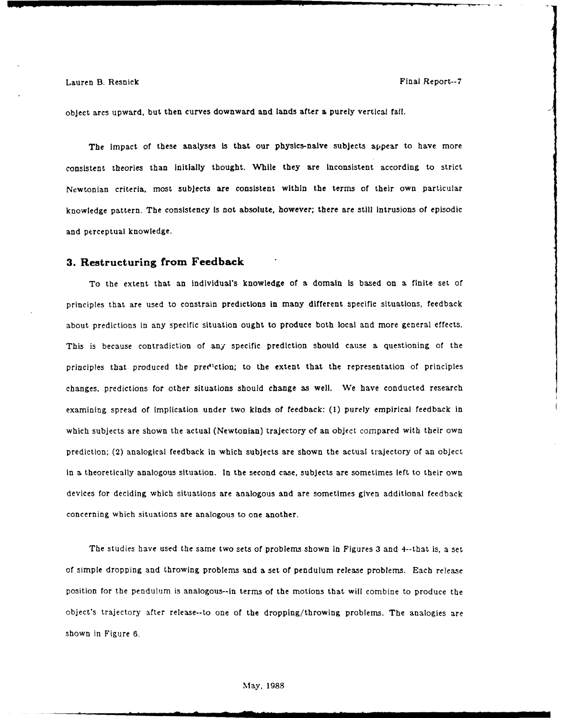object arcs upward, but then curves downward and lands after **a** purely vertical fall.

The impact of these analyses is that our physics-naive subjects appear to have more consistent theories than initially thought. While they are inconsistent according to strict Newtonian criteria, most subjects are consistent within the terms of their own particular knowledge pattern. The consistency Is not absolute, however; there are still intrusions of episodic and perceptual knowledge.

#### **3. Restructuring from Feedback**

To the extent that an Individual's knowledge of a domain is based on a finite set of principles that are used to constrain predictions In many different specific situations, feedback about predictions in any specific situation ought to produce both local and more general effects. This is because contradiction of any specific prediction should cause a questioning of the principles that produced the prediction; to the extent that the representation of principles changes, predictions for other situations should change as well. We have conducted research examining spread of implication under two kinds of feedback: **(1)** purely empirical feedback in which subjects are shown the actual (Newtonian) trajectory **of** an object compared with their own prediction; (2) analogical feedback in which subjects are shown the actual trajectory of an object in a theoretically analogous situation. In the second case, subjects are sometimes left to their own devices for deciding which situations are analogous and are sometimes given additional feedback concerning which situations are analogous to one another.

The studies have used the same two sets of problems shown in Figures 3 and 4--that is, a set of simple dropping and throwing problems and a set of pendulum release problems. Each release position for the pendulum is analogous--in terms of the motions that will combine to produce the object's trajectory after release--to one of the dropping/throwing problems. The analogies are shown in Figure 6.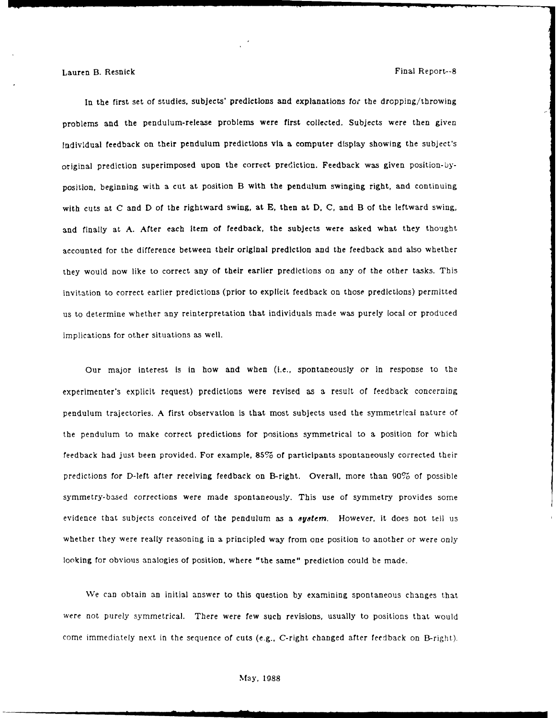In the first set of studies, subjects' predictions and explanations for the dropping/throwing problems and the pendulum-release problems were first collected. Subjects were then given Individual feedback on their pendulum predictions via a computer display showing the subject's original prediction superimposed upon the correct prediction. Feedback was given position-byposition, beginning with a cut at position B with the pendulum swinging right, and continuing with cuts at C and D of the rightward swing, at E, then at D, C, and B of the leftward swing, and finally at A. After each item of feedback, the subjects were asked what they thought accounted for the difference between their original prediction and the feedback and also whether they would now like to correct any of their earlier predictions on any of the other tasks. This invitation to correct earlier predictions (prior to explicit feedback on those predictions) permitted us to determine whether any reinterpretation that individuals made was purely local or produced implications for other situations as well.

Our major interest Is in how and when (i.e., spontaneously or in response to the experimenter's explicit request) predictions were revised as a result of feedback concerning pendulum trajectories. A first observation Is that most subjects used the symmetrical nature of the pendulum to make correct predictions for positions symmetrical to a position for which feedback had just been provided. For example, **85%** of participants spontaneously corrected their predictions for D-left after receiving feedback on B-right. Overall, more than **90%** of possible symmetry-based corrections were made spontaneously. This use of symmetry provides some evidence that subjects conceived of the pendulum as a *8ayterm.* However, it does not tell us whether they were really reasoning in a principled way from one position to another or were only looking for obvious analogies of position, where "the same" prediction could be made.

We can obtain an initial answer to this question by examining spontaneous changes that were not purely symmetrical. There were few such revisions, usually to positions that would come immediately next in the sequence of cuts (e.g., C-right changed after feedback on B-right).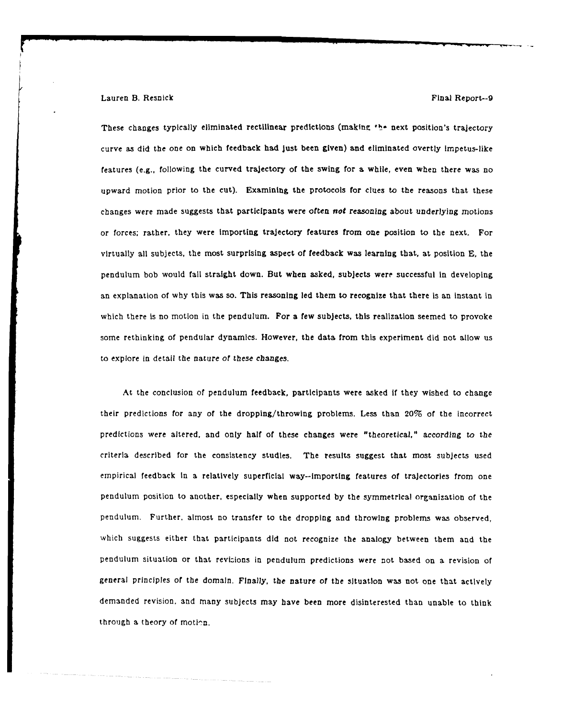#### Lauren B. Resnick Final Report--9

These changes typically eliminated rectilinear predictions (makine **I\*** next position's trajectory curve as did the one on which feedback had just been given) and eliminated overtly impetus-like features (e.g., following the curved trajectory of the swing for a while, even when there was no upward motion prior to the cut). Examining the protocols for clues to the reasons that these changes were made suggests that participants were often *not* reasoning about underlying motions or forces; rather, they were importing trajectory features from one position to the next. For virtually all subjects, the most surprising aspect of feedback was learning that, at position **E,** the pendulum bob would fall straight down. But when asked, subjects were successful in developing an explanation of why this was so. This reasoning led them to recognize that there is an instant in which there is no motion in the pendulum. For a few subjects, this realization seemed to provoke some rethinking of pendular dynamics. However, the data from this experiment did not allow us to explore in detail the nature *of these* changes.

At the conclusion of pendulum feedback, participants were asked if they wished to change their predictions for any of the dropping/throwing problems. Less than 20% of the incorrect predictions were altered, and only half of these changes were "theoretical," according to the criteria described for the consistency studies. The results suggest that most subjects used empirical feedback In a relatively superficial way--Importing features of trajectories from one pendulum position to another, especially when supported by the symmetrical organization of the pendulum. Further, almost no transfer to the dropping and throwing problems was observed, which suggests either that participants did not recognize the analogy between them and the pendulum situation or that revizions in pendulum predictions were not based on a revision of general principles of the domain. Finally, the nature of the situation was not one that actively demanded revision, and many subjects may have been more disinterested than unable to think through a theory of motion.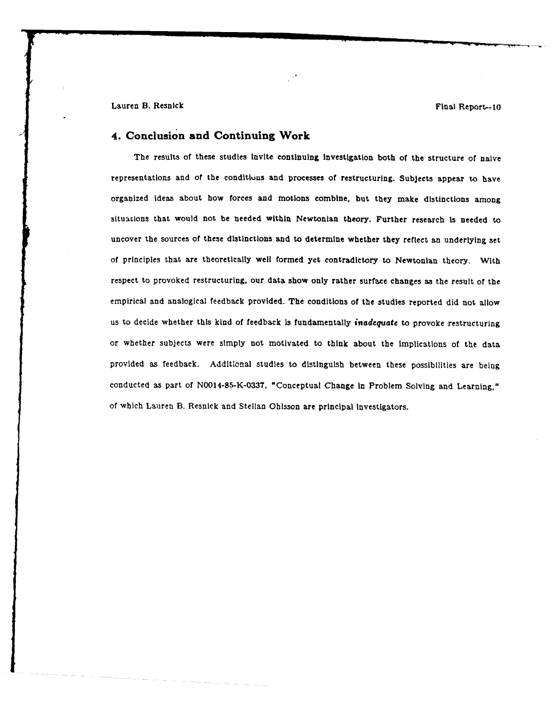Lauren B. Resnick Final Report--10

## **4. Conclusion and Continuing Work**

The results of these studies Invite continuing investigation both **of** the structure of naive representations and of the conditiuns and processes of restructuring. Subjects appear to have organized ideas about how forces and motions combine, but they make distinctions among situations that would not be needed within Newtonian theory. Further research is needed to uncover the sources of these distinctions and to determine whether they reflect an underlying set of principles that are theoretically well formed yet contradictory to Newtonian theory. With respect to provoked restructuring, our data show only rather surface changes as the result of the empirical and analogical feedback provided. The conditions of the studies reported did not allow us to decide whether this kind of feedback Is fundamentally *inadequate* to provoke restructuring or whether subjects were simply not motivated to think about the Implications of the data provided as feedback. Additlonal studies to distinguish between these possibilities are being conducted as part of N0014-85-K-0337, "Conceptual Change In Problem Solving and Learning," of which Lauren B. Resnick and Stellan Ohlsson are principal Investigators.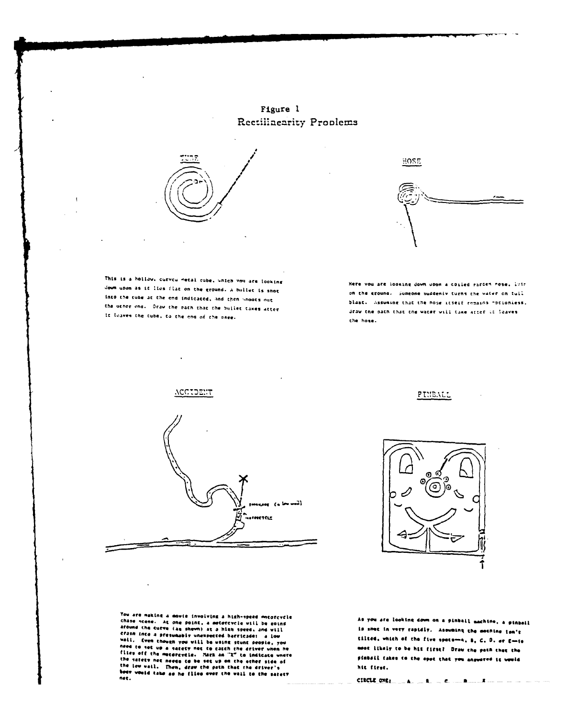Figure 1 Rectilinearity Proplems



HOSE

This is a hollow, curved metal rube, which you are looking down upon as if lies flat on the ground. A bullet is shot into the tune at the end indicated, and then unoots out the other end. Oraw the path that the bullet takes atter if leaves the tube, to the end of the page.

 $\mathbf{I}$ 

Here you are looking down upon a coiled rarden nose. Lytr on the ground, Sumeone suddenly turns the water on tull blast. Assuming that the nose itself remains potioniess. draw the path that the water will take arter it leaves the hose.



PINEALL



You are making a mayie involving a high-speed mecorcycle<br>chase scene. At one point, a motorcycle will be going<br>around the curve (as shown) at a high speed, and will<br>contain the contract in the speed of the speed and the afound the curve (as shown) at a high speed, and will<br>crass into a presumably unempected barricade: a low<br>vali. Even though you will be using stunt people, you<br>need to set up a sarety met to catch the driver when he<br>files

you are looking down on a pinbail machine, a pinbail A. nac in very rapidly. Asowming the mochine ton't  $19$ tilted, which of the five spots-a, S, C, D, or E-is moot likely to be hit first? Draw the path that the pinbail takes to the spot that you answered it would hit first.

 $\text{CIRCLL} \text{ OR} \text{L} \text{ = } \text{A} \text{ = } \text{A} \text{ = } \text{C} \text{ = } \text{A} \text{ = } \text{A} \text{ = } \text{A} \text{ = } \text{A} \text{ = } \text{A} \text{ = } \text{A} \text{ = } \text{A} \text{ = } \text{A} \text{ = } \text{A} \text{ = } \text{A} \text{ = } \text{A} \text{ = } \text{A} \text{ = } \text{A} \text{ = } \text{A} \text{ = } \text{A} \text{ = } \text{A} \text{ = } \text{A} \text$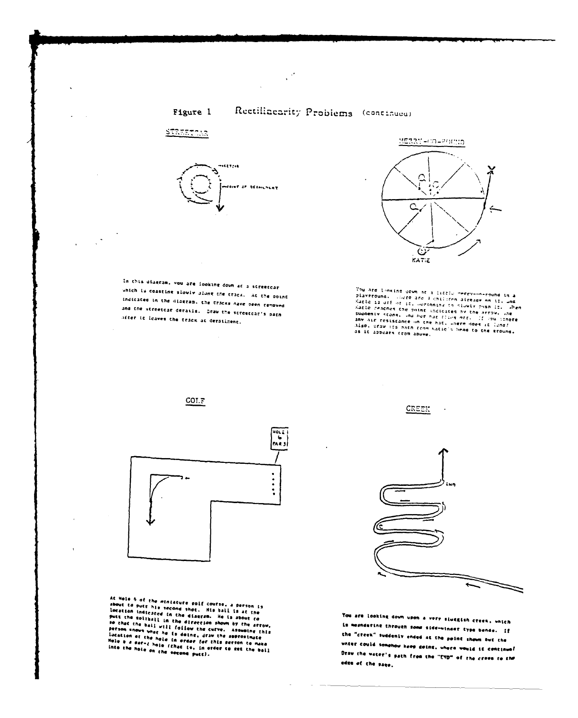

 $\frac{1}{2}$ 



 $\mathcal{L}_{\mathcal{A}}$ 

 $\mathbb{R}^{\frac{1}{2}}$ 





In this disersm, you are looking down at a screetcar which is coastine slowly slowe the track. At the oping indicated in the diagram, the tracks have been removed and the streetcar derails. Draw the streetcar's parn after to leaves the track at deratizent.

 $\sim$ 







At Wole 6 of the miniature soif course, a person is<br>about to putt his second shot. Mis bail is at the<br>location indicated in the diagram. He is about to<br>put the soliball in the direction shown by the artow,<br>person snows whe

CREEK



 $\ddot{\phantom{a}}$ 

You are looking down upon a very sluggish crees, unich is megniering through some side-winger type bends. If the "creek" suddenly ended at the point shown but the unter could somehow keep gothe, where would it continual Draw che water's path from the "END" of the crees to the edge of the page.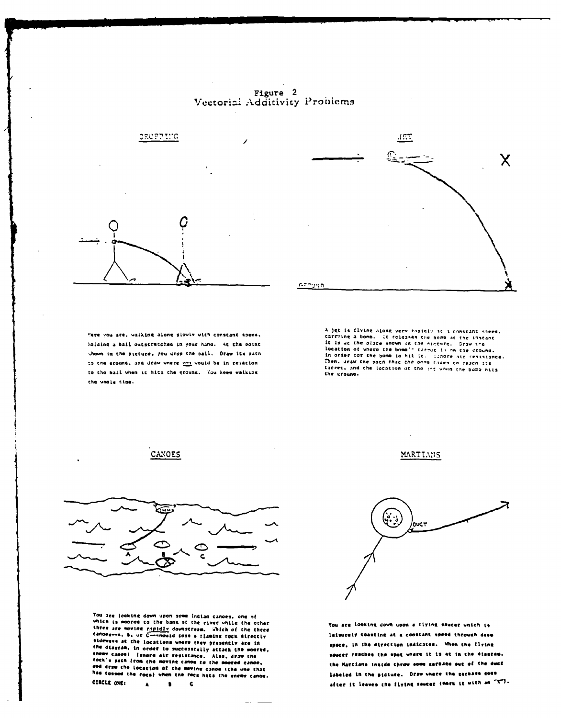Figure 2 Vectorial Additivity Problems



JET Χ canuun

Here you are, walking along slowly with constant speed, holding a ball outscretched in your hand. At the point shown in the picture. you drop the bail. Draw its path to the ground, and draw where you would be in relation to the ball when it hits the ground. You keep waiking the unals time.

A jet is flying along very rapidly at a constant speed. A jet is invine along very rapidly at a constant speed.<br>Carrying a bonb. It releases the bond at the listene of the linear<br>it is at the place shown in the picture. Oraw tre<br>location of where the bond in target is on the st target, and the location of the inc when the bumb hits the ground.



You are looking down upon some Indian canoes, one of which is modeed to the bank of the river while the other three are moving rapidly downstream. Which of the three<br>canoes--A, B, or C---nould toss a tlaming rock directly stdewave at the locations where they presently are in the diagram, in order to successfully attack the moored,<br>the diagram, in order to successfully attack the moored,<br>enemy cancel I grant from the moving cance to the moored cance, and draw the locacion of the moving canoe (the one that has tossed the rock) when the rock hits the enemy canoe. CIRCLE ONE:  $\bullet$   $\bullet$  $\ddot{ }$ 

MARTIANS



You are looking down upon a tiying saucer unich is leisurely Coasting at a constant speed through deep space, in the direction indicated. When the flying saucer reaches the spot where it is at in the disgram. the Martians inside throw some garnage out of the duck labeled in the picture. Draw where the garbase goes after it leaves the flying saucer (mark it with an "X").

CANOES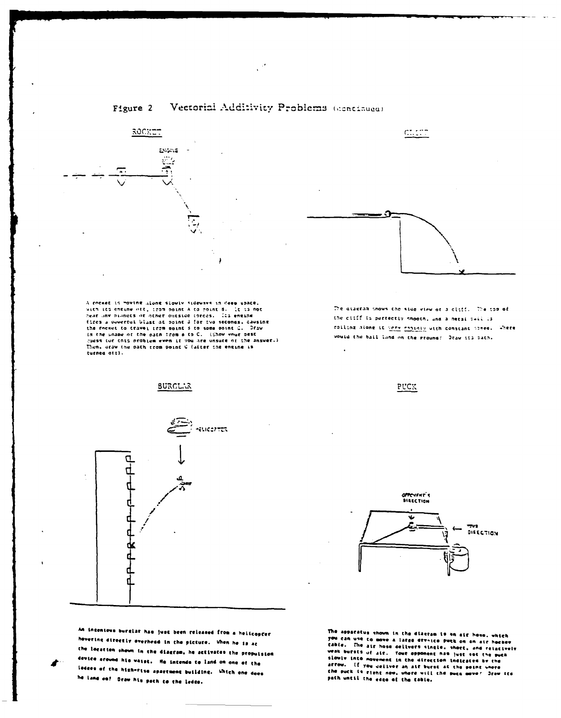

A cooket is moving along slowly sideways in deep space,<br>with its engine oft, trop point A to moint B. (t is not near any bianets or other outside torces. Its entine fires a ouvertui blast at point I for two seconds, causing<br>the rocket to travel from point 3 to some point C. Draw in the shape of the path from 8 to C. (Show your best care shape of the path from 8 to C. (Show your best Then, draw the path rrom point C (after the engine is turned off).



An incentous burglar has just been released from a helicopter ering directly overhead in the picture. When he is ac the location shown in the diagram, he activates the propulsion device around his waist. He intends to land on one of the ledges of the high-rise apartment building. Which one does he Land on? Deaw his pach co the ledge.



The diagram thous the side view of a cliff. The top of the cilff is perfectly smooth, and a metal sail is rolling along it were rightly with constant scree. Where would the bail land on the ground! Otaw its bath.

PUCK



The apparatus shown in the diacram is an air hose, which The case of the same a large divided by the second are not all the case of the same and the case of the case of the case of the case of the same case of the same case of the same case of the same case of the same case of t weak bursts of air. Yout opponent has just set the such slowly into movement in the direction indicates by the action. If you deliver an alt burst in interest with the same of the same were the point where the paint where the path until the edge of the table.

#### Vectorial Additivity Problems (continued) Figure 2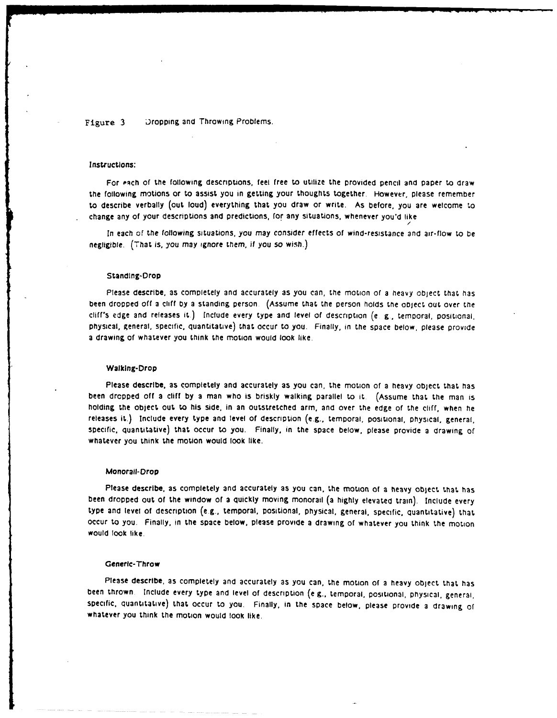Figure 3 Dropping and Throwing Problems.

#### Instructions:

For each of the following descriptions, feel free to utilize the provided pencil and paper to draw the following motions or to assist you in getting your thoughts together. However, please remember to describe verbally (out loud) everything that you draw or write. As before, you are welcome to change any of your descriptions and predictions, for any situations, whenever you'd like

In each of the following situations, you may consider effects of wind-resistance and air-flow to be negligible. (That is, **you** may ignore them, if you so wish.)

*/*

#### Standlng-Drop

Please describe, as completely and accurately as you can, the motion **of** a heavy object **that** has been dropped off a cliff by a standing person. (Assume that the person holds the object out over the cliffs edge and releases it.) include every type and level of description (e & **,** temporal, positional, physical, general, specific, quantitative) that occur to you. Finally, in the space below, please provide a drawing of whatever you think the motion would look like.

#### Walking-Drop

Please describe, as completely and accurately as you can, the motion of a heavy object that has been drcpped **off** a cliff **by** a man who is briskly walking parallel to it. (Assume that the man is holding the object out to his side. in an outstretched arm, and over the edge of the cliff, when he releases it.) include eyery type and level of description (e.g., temporal, positional, physical, general, specific, quantitative) that occur to you. Finally, in the space below, please provide a drawing of whatever you think the motion would look like.

#### Monorail-Drop

Please describe, as completely and accurately **as** you can, the motion of a heavy object that, has been dropped out of the window of a quickly moving monorail (a highly elevated train). Include every type and level of description (e.g., temporal, positional, physical, general, specific, quantitative) that occur to you. Finally, in the space below, please provide a drawing of whatever you think the motion would look like.

#### Generic-Throw

Please describe, as completely and accurately as you can, the motion of a heavy object that has been thrown Include every type and level of description (e **g.,** temporal, positional, physical, general, specific, quantitative) that occur to you. Finally, in the space below, please provide a drawing of whatever you think the motion would **look** like.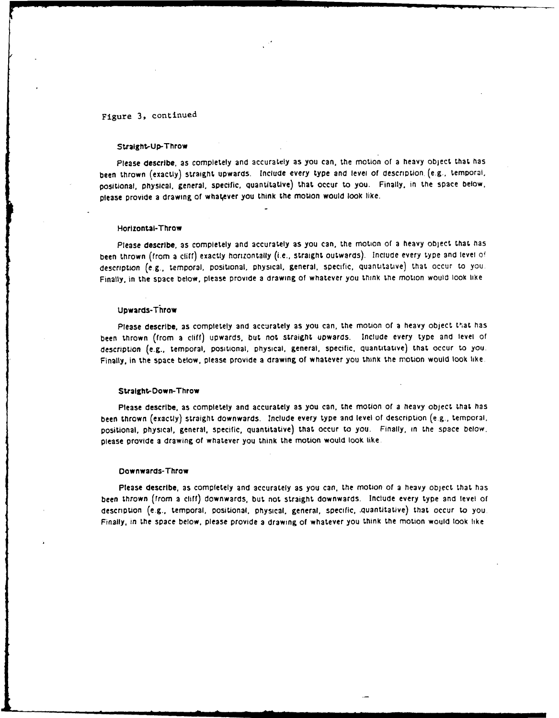## Figure 3, continued

#### Straight-Up-Throw

Please describe, as completely and accurately as you can, the motion of a heavy object that has been thrown (exactly) straight upwards. Include every type and level of description. (e.g., temporal, positional, physical, general, specific, quantitative) that occur to you. Finally, in the space below, please provide a drawing of whatever you think the motion would look like.

#### Horizontal-Throw

Please describe, as completely and accurately as you can, the motion of a heavy object that has been thrown (from a cliff) exactly horizontally (i.e., straight outwards). Include every type and level of description (e.g., temporal, positional, physical, general, specific, quantitative) that occur to you. Finally, in the space below, please provide a drawing **of** whatever you think the motion would look like

#### Upwards-Throw

Please describe, as completely and accurately as you can, the motion of a heavy object that has been thrown (from a cliff) upwards, but not straight upwards. Include every type and level of description (e.g., temporal, positional, physical, general, specific, quantitative) that occur to you. Finally, in the space below, please provide a drawing of whatever you think the motion would **look** like.

#### Stralght-Dow n-Throw

Please describe, as completely and accurately as you can, the motion of a heavy object that has been thrown (exactly) straight downwards. Include every type and level of description (e.g., temporal. positional, physical, general, specific, quantitative) that occur to you. Finally, in the space below. please provide a drawing **of** whatever you think the motion would look like.

#### Downwards-Throw

Please describe, as completely and accurately as you can, the motion of a heavy object that has been thrown (from a cliff) downwards, but not straight downwards. Include every type and level of description (e.g., temporal, positional, physical, general, specific, .quantitative) that occur to you. Finally. in the space below, please provide a drawing of whatever you think the motion would **took** like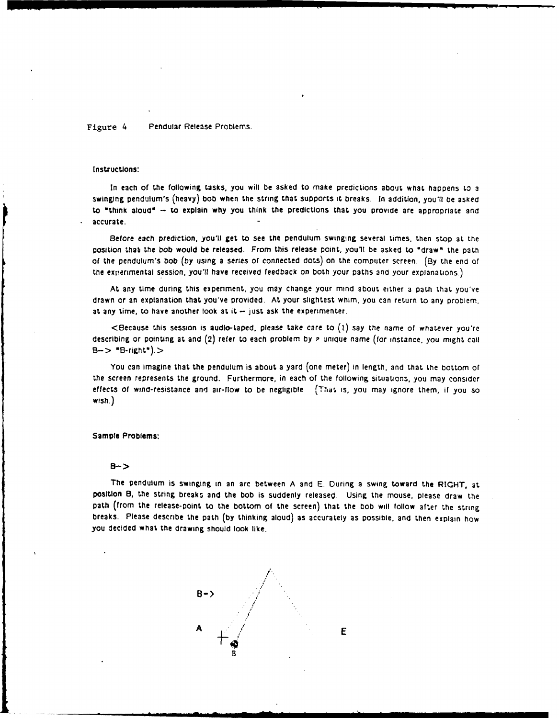Figure 4 Pendular Release Problems.

#### Instructions:

In each of the following tasks, you will be asked to make predictions about what happens **to** a swinging pendulum's (heavy) bob when the string that supports it breaks. In addition, you'll be asked to "think aloud" -- to explain why you think the predictions that you provide are appropriate and accurate.

Before each prediction, you'll get to see **the** pendulum swinging several times, then stop at the position that the bob would be released. From this release point, you'll be asked to "draw" the path of the pendulum's bob (by using a series of connected dots) on the computer screen. **(By** the end of the experimental session, you'll have received feedback on both your paths and your explanations.)

At any time during this experiment, you may change your mind about either a path that **you've** drawn or an explanation that you've provided. At your slightest whim, you can return to any problem. at any time, to have another look at it **-** just ask the experimenter.

<Because this session is audio-taped, please take care to **(1)** say the name **of** whatever you're describing or pointing at and (2) refer to each problem by a unique name (for instance, you might call  $B->$   $B$ -right<sup>\*</sup> $)$  $>$ 

You can imagine that the pendulum is about a yard (one meter) in length, and that the bottom **of** the screen represents the ground. Furthermore, in each of the following situations, you may consider effects of wind-resistance and air-flow to be negligible (That is, you may ignore them, **if** you so wish.)

#### Sample Problems:

#### B->

The pendulum is swinging in an **arc** between **A** and **E.** During a swing toward the RIGHT, at position B, the string breaks and the bob is suddenly released. Using the mouse, please draw the path (from the release-point to the bottom of the screen) that the bob will **follow** after the string breaks. Please describe the path **(by** thinking aloud) as accurately as possible, and then explain how you decided what the drawing should look like.

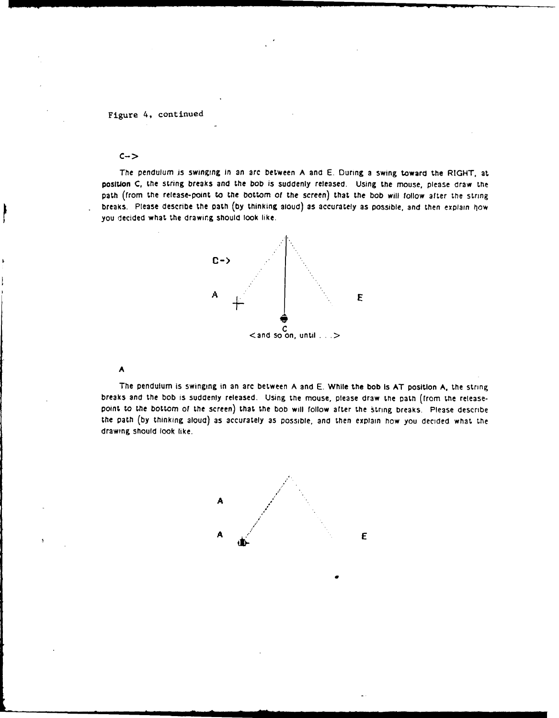#### Figure 4, continued

#### **C->**

The pendulum is swinging in an arc between **A** and **E.** During a swing toward the RIGHT, **at** position **C,** tle string breaks and the bob is suddenly released. Using the mouse, please draw the path (from the release-point to the bottom **of** the screen) that the bob will follow after the string breaks. Please describe the path **(by** thinking aloud) as accurately as possible, and then explain "10w you decided what the drawing should look like.



#### **A**

The pendulum is swinging in an arc between **A** and **E.** While the bob Is **AT** position **A.** the string breaks and the bob is suddenly released. Using the mouse, please draw the path (from the releasepoint to the bottom of the screen) that the **bob** will follow after the string breaks. Please describe the patfl **(by** thinking aloud) as accurately **as** POSSible. and then explain **flow** you decided what **Le** drawing should look like.

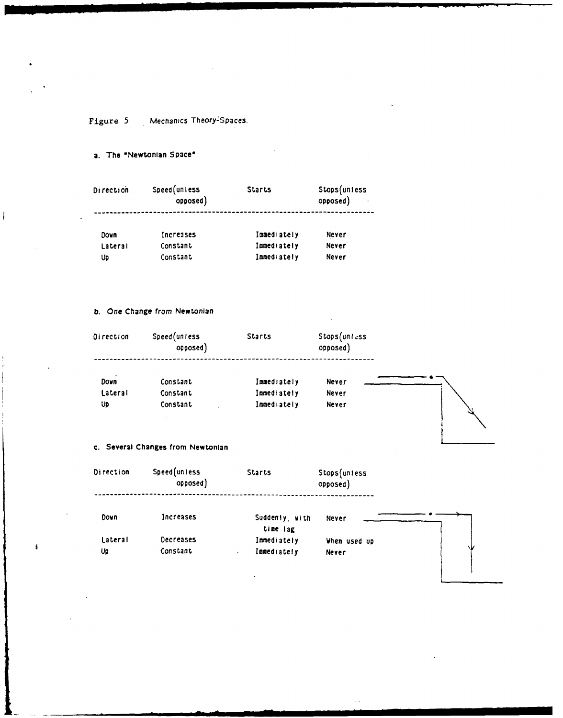Figure 5 Mechanics Theory-Spaces.

a. The "Newtonlan Space'

 $\overline{\phantom{a}}$ 

Ă

| <b>Direction</b> | Speed(unless<br>opposed) | <b>Starts</b>      | Stops(unless<br>opposed) |  |
|------------------|--------------------------|--------------------|--------------------------|--|
| Dovn             | <b>Increases</b>         | <b>Innediately</b> | Never                    |  |
| Lateral          | Constant                 | Immediately        | Never                    |  |
| Up               | Constant                 | <b>Immediately</b> | Never                    |  |

Up **Constant Immediately** Never

#### **b.** One Change from Newtonian

| Direction | Speed(unless<br>opposed) | Starts      | Stops(unless<br>opposed) |  |
|-----------|--------------------------|-------------|--------------------------|--|
| Down      | Constant                 | Immediately | Never                    |  |
| Lateral   | Constant                 | Immediately | Never                    |  |

#### **c.** Several Changes from Newtonian

| Direction | Speed (unless<br>opposed) | <b>Starts</b>              | Stops(unless<br>opposed) |    |
|-----------|---------------------------|----------------------------|--------------------------|----|
| Down      | Increases                 | Suddenly, with<br>time lag | Never                    |    |
| Lateral   | Decreases                 | Immediately                | When used up             |    |
| Up        | Constant                  | Immediately<br>$\cdot$     | <b>Never</b>             | ٦U |
|           |                           |                            |                          |    |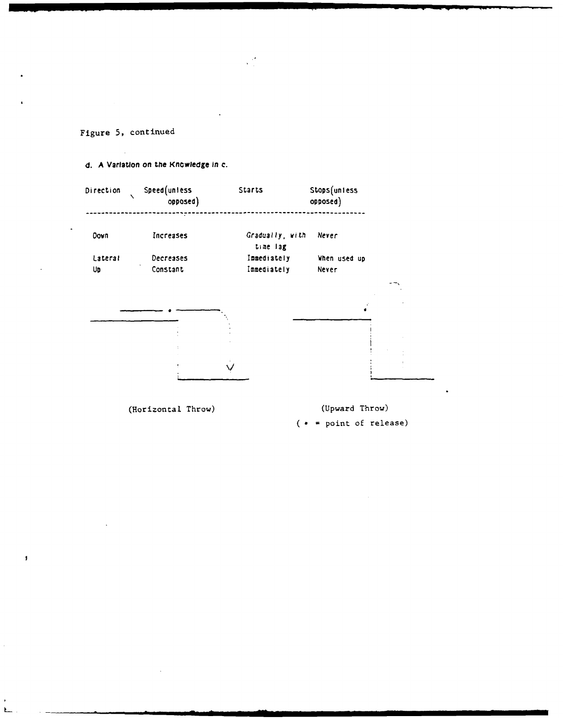

(Horizontal Throw) (Upward Throw)  $(* = point of release)$ 

Figure **5,** continued